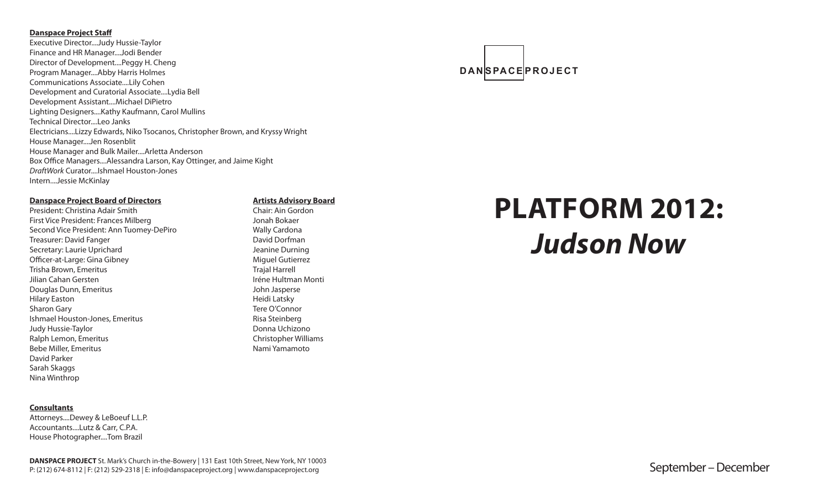#### **Danspace Project Staff**

Executive Director....Judy Hussie-Taylor Finance and HR Manager....Jodi Bender Director of Development....Peggy H. Cheng Program Manager....Abby Harris Holmes Communications Associate....Lily Cohen Development and Curatorial Associate....Lydia Bell Development Assistant....Michael DiPietro Lighting Designers....Kathy Kaufmann, Carol Mullins Technical Director....I eo Janks Electricians....Lizzy Edwards, Niko Tsocanos, Christopher Brown, and Kryssy Wright House Manager....Jen Rosenblit House Manager and Bulk Mailer....Arletta Anderson Box Office Managers....Alessandra Larson, Kay Ottinger, and Jaime Kight *DraftWork* Curator....Ishmael Houston-Jones Intern....Jessie McKinlay

#### **Danspace Project Board of Directors**

President: Christina Adair Smith First Vice President: Frances Milberg Second Vice President: Ann Tuomey-DePiro Treasurer: David Fanger Secretary: Laurie Uprichard Officer-at-Large: Gina Gibney Trisha Brown, Emeritus Jilian Cahan Gersten Douglas Dunn, Emeritus Hilary Easton Sharon Gary Ishmael Houston-Jones, Emeritus Judy Hussie-Taylor Ralph Lemon, Emeritus Bebe Miller, Emeritus David Parker Sarah Skaggs Nina Winthrop

#### **Consultants**

Attorneys....Dewey & LeBoeuf L.L.P. Accountants....Lutz & Carr, C.P.A. House Photographer....Tom Brazil

#### **Artists Advisory Board**

Chair: Ain Gordon Jonah Bokaer Wally Cardona David Dorfman Jeanine Durning Miguel Gutierrez Trajal Harrell Iréne Hultman Monti John Jasperse Heidi Latsky Tere O'Connor Risa Steinberg Donna Uchizono Christopher Williams Nami Yamamoto

# **PLATFORM 2012:**  *Judson Now*

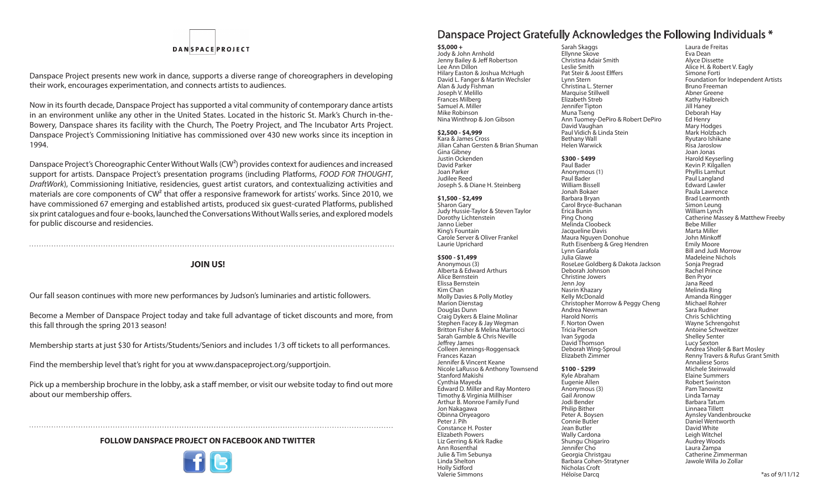# **DANSPACEPROJECT**

Danspace Project presents new work in dance, supports a diverse range of choreographers in developing their work, encourages experimentation, and connects artists to audiences.

Now in its fourth decade, Danspace Project has supported a vital community of contemporary dance artists in an environment unlike any other in the United States. Located in the historic St. Mark's Church in-the-Bowery, Danspace shares its facility with the Church, The Poetry Project, and The Incubator Arts Project. Danspace Project's Commissioning Initiative has commissioned over 430 new works since its inception in 1994.

Danspace Project's Choreographic Center Without Walls (CW²) provides context for audiences and increased support for artists. Danspace Project's presentation programs (including Platforms, *FOOD FOR THOUGHT*, *DraftWork*), Commissioning Initiative, residencies, guest artist curators, and contextualizing activities and materials are core components of CW<sup>2</sup> that offer a responsive framework for artists' works. Since 2010, we have commissioned 67 emerging and established artists, produced six guest-curated Platforms, published six print catalogues and four e-books, launched the Conversations Without Walls series, and explored models for public discourse and residencies.

#### **JOIN US!**

Our fall season continues with more new performances by Judson's luminaries and artistic followers.

Become a Member of Danspace Project today and take full advantage of ticket discounts and more, from this fall through the spring 2013 season!

Membership starts at just \$30 for Artists/Students/Seniors and includes 1/3 off tickets to all performances.

Find the membership level that's right for you at www.danspaceproject.org/supportjoin.

Pick up a membership brochure in the lobby, ask a staff member, or visit our website today to find out more about our membership offers.

#### **FOLLOW DANSPACE PROJECT ON FACEBOOK AND TWITTER**



# Danspace Project Gratefully Acknowledges the Following Individuals \*

**\$5,000 +** Jody & John Arnhold Jenny Bailey & Jeff Robertson Lee Ann Dillon Hilary Easton & Joshua McHugh David L. Fanger & Martin Wechsler Alan & Judy Fishman Joseph V. Melillo Frances Milberg Samuel A. Miller Mike Robinson Nina Winthrop & Jon Gibson **\$2,500 - \$4,999** Kara & James Cross Jilian Cahan Gersten & Brian Shuman Gina Gibney Justin Ockenden David Parker Joan Parker Judilee Reed Joseph S. & Diane H. Steinberg **\$1,500 - \$2,499**

Sharon Gary Judy Hussie-Taylor & Steven Taylor Dorothy Lichtenstein Janno Lieber King's Fountain Carole Server & Oliver Frankel Laurie Uprichard

**\$500 - \$1,499** Anonymous (3) Alberta & Edward Arthurs Alice Bernstein Elissa Bernstein Kim Chan Molly Davies & Polly Motley Marion Dienstag Douglas Dunn Craig Dykers & Elaine Molinar Stephen Facey & Jay Wegman Britton Fisher & Melina Martocci Sarah Gamble & Chris Neville Jeffrey James Colleen Jennings-Roggensack Frances Kazan Jennifer & Vincent Keane Nicole LaRusso & Anthony Townsend Stanford Makishi Cynthia Mayeda Edward D. Miller and Ray Montero Timothy & Virginia Millhiser Arthur B. Monroe Family Fund Jon Nakagawa Obinna Onyeagoro Peter J. Pih Constance H. Poster Elizabeth Powers Liz Gerring & Kirk Radke Ann Rosenthal Julie & Tim Sebunya Linda Shelton Holly Sidford Valerie Simmons

Sarah Skaggs Ellynne Skove Christina Adair Smith Leslie Smith Pat Steir & Joost Elffers Lynn Stern Christina L. Sterner Marquise Stillwell Elizabeth Streb Jennifer Tipton Muna Tseng Ann Tuomey-DePiro & Robert DePiro David Vaughan Paul Vidich & Linda Stein Bethany Wall Helen Warwick **\$300 - \$499** Paul Bader Anonymous (1) Paul Bader William Bissell Jonah Bokaer Barbara Bryan Carol Bryce-Buchanan Erica Bunin Ping Chong Melinda Cloobeck Jacqueline Davis Maura Nguyen Donohue Ruth Eisenberg & Greg Hendren Lynn Garafola Julia Glawe RoseLee Goldberg & Dakota Jackson Deborah Johnson Christine Jowers Jenn Joy Nasrin Khazary Kelly McDonald Christopher Morrow & Peggy Cheng Andrea Newman Harold Norris F. Norton Owen Tricia Pierson Ivan Sygoda David Thomson Deborah Wing-Sproul Elizabeth Zimmer **\$100 - \$299** Kyle Abraham Eugenie Allen Anonymous (3) Gail Aronow Jodi Bender Philip Bither Peter A. Boysen Connie Butler Jean Butler Wally Cardona Shungu Chigariro Jennifer Cho Georgia Christgau Barbara Cohen-Stratyner Nicholas Croft

Héloïse Darcq

Laura de Freitas Eva Dean Alyce Dissette Alice H. & Robert V. Eagly Simone Forti Foundation for Independent Artists Bruno Freeman Abner Greene Kathy Halbreich Jill Haney Deborah Hay Ed Henry Mary Hodges Mark Holzbach Ryutaro Ishikane Risa Jaroslow Joan Jonas Harold Keyserling Kevin P. Kilgallen Phyllis Lamhut Paul Langland Edward Lawler Paula Lawrence Brad Learmonth Simon Leung William Lynch Catherine Massey & Matthew Freeby Bebe Miller Marta Miller John Minkoff Emily Moore Bill and Judi Morrow Madeleine Nichols Sonja Pregrad Rachel Prince Ben Pryor Jana Reed Melinda Ring Amanda Ringger Michael Rohrer Sara Rudner Chris Schlichting Wayne Schrengohst Antoine Schweitzer Shelley Senter Lucy Sexton Andrea Sholler & Bart Mosley Renny Travers & Rufus Grant Smith Annaliese Soros Michele Steinwald Elaine Summers Robert Swinston Pam Tanowitz Linda Tarnay Barbara Tatum Linnaea Tillett Aynsley Vandenbroucke Daniel Wentworth David White Leigh Witchel Audrey Woods Laura Zampa Catherine Zimmerman Jawole Willa Jo Zollar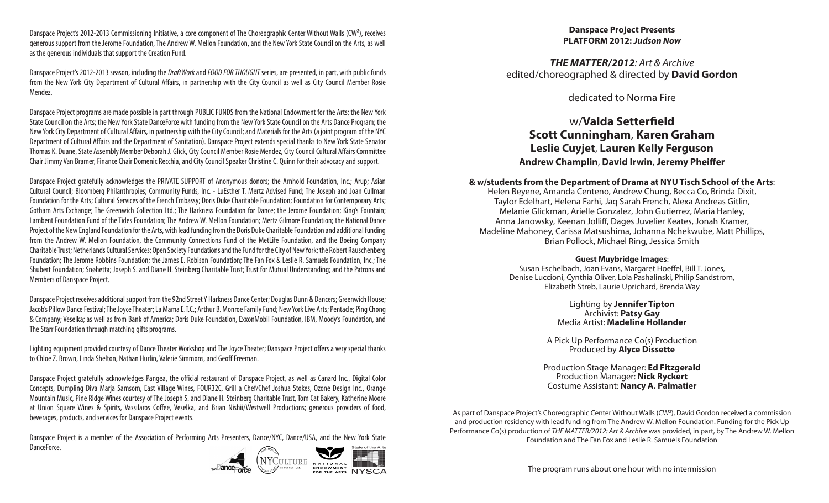Danspace Project's 2012-2013 Commissioning Initiative, a core component of The Choreographic Center Without Walls (CW<sup>2</sup>), receives generous support from the Jerome Foundation, The Andrew W. Mellon Foundation, and the New York State Council on the Arts, as well as the generous individuals that support the Creation Fund.

Danspace Project's 2012-2013 season, including the *DraftWork* and *FOOD FOR THOUGHT* series, are presented, in part, with public funds from the New York City Department of Cultural Affairs, in partnership with the City Council as well as City Council Member Rosie Mendez.

Danspace Project programs are made possible in part through PUBLIC FUNDS from the National Endowment for the Arts; the New York State Council on the Arts; the New York State DanceForce with funding from the New York State Council on the Arts Dance Program; the New York City Department of Cultural Affairs, in partnership with the City Council; and Materials for the Arts (a joint program of the NYC Department of Cultural Affairs and the Department of Sanitation). Danspace Project extends special thanks to New York State Senator Thomas K. Duane, State Assembly Member Deborah J. Glick, City Council Member Rosie Mendez, City Council Cultural Affairs Committee Chair Jimmy Van Bramer, Finance Chair Domenic Recchia, and City Council Speaker Christine C. Quinn for their advocacy and support.

Danspace Project gratefully acknowledges the PRIVATE SUPPORT of Anonymous donors; the Arnhold Foundation, Inc.; Arup; Asian Cultural Council; Bloomberg Philanthropies; Community Funds, Inc. - LuEsther T. Mertz Advised Fund; The Joseph and Joan Cullman Foundation for the Arts; Cultural Services of the French Embassy; Doris Duke Charitable Foundation; Foundation for Contemporary Arts; Gotham Arts Exchange; The Greenwich Collection Ltd.; The Harkness Foundation for Dance; the Jerome Foundation; King's Fountain; Lambent Foundation Fund of the Tides Foundation; The Andrew W. Mellon Foundation; Mertz Gilmore Foundation; the National Dance Project of the New England Foundation for the Arts, with lead funding from the Doris Duke Charitable Foundation and additional funding from the Andrew W. Mellon Foundation, the Community Connections Fund of the MetLife Foundation, and the Boeing Company Charitable Trust; Netherlands Cultural Services; Open Society Foundations and the Fund for the City of New York; the Robert Rauschenberg Foundation; The Jerome Robbins Foundation; the James E. Robison Foundation; The Fan Fox & Leslie R. Samuels Foundation, Inc.; The Shubert Foundation; Snøhetta; Joseph S. and Diane H. Steinberg Charitable Trust; Trust for Mutual Understanding; and the Patrons and Members of Danspace Project.

Danspace Project receives additional support from the 92nd Street Y Harkness Dance Center; Douglas Dunn & Dancers; Greenwich House; Jacob's Pillow Dance Festival; The Joyce Theater; La Mama E.T.C.; Arthur B. Monroe Family Fund; New York Live Arts; Pentacle; Ping Chong & Company; Veselka; as well as from Bank of America; Doris Duke Foundation, ExxonMobil Foundation, IBM, Moody's Foundation, and The Starr Foundation through matching gifts programs.

Lighting equipment provided courtesy of Dance Theater Workshop and The Joyce Theater; Danspace Project offers a very special thanks to Chloe Z. Brown, Linda Shelton, Nathan Hurlin, Valerie Simmons, and Geoff Freeman.

Danspace Project gratefully acknowledges Pangea, the official restaurant of Danspace Project, as well as Canard Inc., Digital Color Concepts, Dumpling Diva Marja Samsom, East Village Wines, FOUR32C, Grill a Chef/Chef Joshua Stokes, Ozone Design Inc., Orange Mountain Music, Pine Ridge Wines courtesy of The Joseph S. and Diane H. Steinberg Charitable Trust, Tom Cat Bakery, Katherine Moore at Union Square Wines & Spirits, Vassilaros Coffee, Veselka, and Brian Nishii/Westwell Productions; generous providers of food, beverages, products, and services for Danspace Project events.

Danspace Project is a member of the Association of Performing Arts Presenters, Dance/NYC, Dance/USA, and the New York State DanceForce.



#### **Danspace Project Presents PLATFORM 2012:** *Judson Now*

*THE MATTER/2012: Art & Archive* edited/choreographed & directed by **David Gordon**

dedicated to Norma Fire

# w/**Valda Setterfield Scott Cunningham**, **Karen Graham Leslie Cuyjet**, **Lauren Kelly Ferguson Andrew Champlin**, **David Irwin**, **Jeremy Pheiffer**

#### **& w/students from the Department of Drama at NYU Tisch School of the Arts**:

Helen Beyene, Amanda Centeno, Andrew Chung, Becca Co, Brinda Dixit, Taylor Edelhart, Helena Farhi, Jaq Sarah French, Alexa Andreas Gitlin, Melanie Glickman, Arielle Gonzalez, John Gutierrez, Maria Hanley, Anna Janowsky, Keenan Jolliff, Dages Juvelier Keates, Jonah Kramer, Madeline Mahoney, Carissa Matsushima, Johanna Nchekwube, Matt Phillips, Brian Pollock, Michael Ring, Jessica Smith

#### **Guest Muybridge Images**:

Susan Eschelbach, Joan Evans, Margaret Hoeffel, Bill T. Jones, Denise Luccioni, Cynthia Oliver, Lola Pashalinski, Philip Sandstrom, Elizabeth Streb, Laurie Uprichard, Brenda Way

> Lighting by **Jennifer Tipton** Archivist: **Patsy Gay** Media Artist: **Madeline Hollander**

A Pick Up Performance Co(s) Production Produced by **Alyce Dissette**

Production Stage Manager: **Ed Fitzgerald** Production Manager: **Nick Ryckert** Costume Assistant: **Nancy A. Palmatier**

As part of Danspace Project's Choreographic Center Without Walls (CW2 ), David Gordon received a commission and production residency with lead funding from The Andrew W. Mellon Foundation. Funding for the Pick Up Performance Co(s) production of *THE MATTER/2012: Art & Archive* was provided, in part, by The Andrew W. Mellon Foundation and The Fan Fox and Leslie R. Samuels Foundation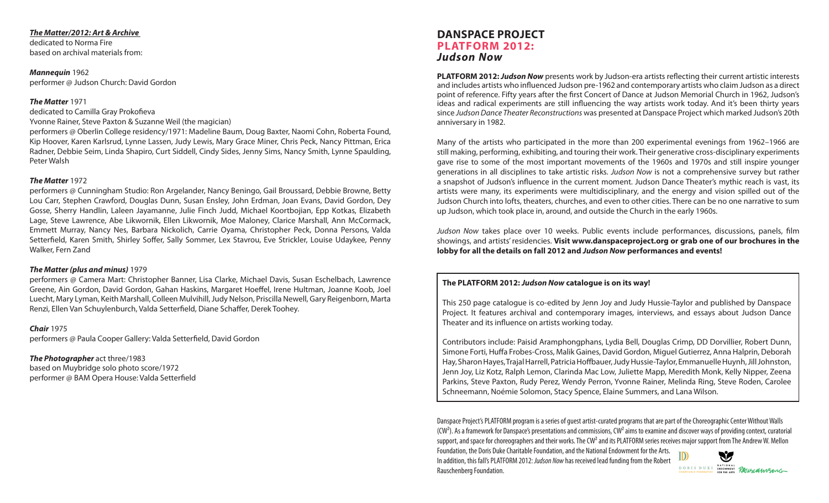#### *The Matter/2012: Art & Archive*

dedicated to Norma Fire based on archival materials from:

*Mannequin* 1962 performer @ Judson Church: David Gordon

#### *The Matter* 1971

dedicated to Camilla Gray Prokofieva

Yvonne Rainer, Steve Paxton & Suzanne Weil (the magician)

performers @ Oberlin College residency/1971: Madeline Baum, Doug Baxter, Naomi Cohn, Roberta Found, Kip Hoover, Karen Karlsrud, Lynne Lassen, Judy Lewis, Mary Grace Miner, Chris Peck, Nancy Pittman, Erica Radner, Debbie Seim, Linda Shapiro, Curt Siddell, Cindy Sides, Jenny Sims, Nancy Smith, Lynne Spaulding, Peter Walsh

#### *The Matter* 1972

performers @ Cunningham Studio: Ron Argelander, Nancy Beningo, Gail Broussard, Debbie Browne, Betty Lou Carr, Stephen Crawford, Douglas Dunn, Susan Ensley, John Erdman, Joan Evans, David Gordon, Dey Gosse, Sherry Handlin, Laleen Jayamanne, Julie Finch Judd, Michael Koortbojian, Epp Kotkas, Elizabeth Lage, Steve Lawrence, Abe Likwornik, Ellen Likwornik, Moe Maloney, Clarice Marshall, Ann McCormack, Emmett Murray, Nancy Nes, Barbara Nickolich, Carrie Oyama, Christopher Peck, Donna Persons, Valda Setterfield, Karen Smith, Shirley Soffer, Sally Sommer, Lex Stavrou, Eve Strickler, Louise Udaykee, Penny Walker, Fern Zand

#### *The Matter (plus and minus)* 1979

performers @ Camera Mart: Christopher Banner, Lisa Clarke, Michael Davis, Susan Eschelbach, Lawrence Greene, Ain Gordon, David Gordon, Gahan Haskins, Margaret Hoeffel, Irene Hultman, Joanne Koob, Joel Luecht, Mary Lyman, Keith Marshall, Colleen Mulvihill, Judy Nelson, Priscilla Newell, Gary Reigenborn, Marta Renzi, Ellen Van Schuylenburch, Valda Setterfield, Diane Schaffer, Derek Toohey.

*Chair* 1975

performers @ Paula Cooper Gallery: Valda Setterfield, David Gordon

*The Photographer* act three/1983 based on Muybridge solo photo score/1972 performer @ BAM Opera House: Valda Setterfield

# **Danspace Project PLATFORM 2012:** *Judson Now*

**PLATFORM 2012:** *Judson Now* presents work by Judson-era artists reflecting their current artistic interests and includes artists who influenced Judson pre-1962 and contemporary artists who claim Judson as a direct point of reference. Fifty years after the first Concert of Dance at Judson Memorial Church in 1962, Judson's ideas and radical experiments are still influencing the way artists work today. And it's been thirty years since *Judson Dance Theater Reconstructions* was presented at Danspace Project which marked Judson's 20th anniversary in 1982.

Many of the artists who participated in the more than 200 experimental evenings from 1962–1966 are still making, performing, exhibiting, and touring their work. Their generative cross-disciplinary experiments gave rise to some of the most important movements of the 1960s and 1970s and still inspire younger generations in all disciplines to take artistic risks. *Judson Now* is not a comprehensive survey but rather a snapshot of Judson's influence in the current moment. Judson Dance Theater's mythic reach is vast, its artists were many, its experiments were multidisciplinary, and the energy and vision spilled out of the Judson Church into lofts, theaters, churches, and even to other cities. There can be no one narrative to sum up Judson, which took place in, around, and outside the Church in the early 1960s.

*Judson Now* takes place over 10 weeks. Public events include performances, discussions, panels, film showings, and artists' residencies. **Visit www.danspaceproject.org or grab one of our brochures in the lobby for all the details on fall 2012 and** *Judson Now* **performances and events!**

#### **The PLATFORM 2012:** *Judson Now* **catalogue is on its way!**

This 250 page catalogue is co-edited by Jenn Joy and Judy Hussie-Taylor and published by Danspace Project. It features archival and contemporary images, interviews, and essays about Judson Dance Theater and its influence on artists working today.

Contributors include: Paisid Aramphongphans, Lydia Bell, Douglas Crimp, DD Dorvillier, Robert Dunn, Simone Forti, Huffa Frobes-Cross, Malik Gaines, David Gordon, Miguel Gutierrez, Anna Halprin, Deborah Hay, Sharon Hayes, Trajal Harrell, Patricia Hoffbauer, Judy Hussie-Taylor, Emmanuelle Huynh, Jill Johnston, Jenn Joy, Liz Kotz, Ralph Lemon, Clarinda Mac Low, Juliette Mapp, Meredith Monk, Kelly Nipper, Zeena Parkins, Steve Paxton, Rudy Perez, Wendy Perron, Yvonne Rainer, Melinda Ring, Steve Roden, Carolee Schneemann, Noémie Solomon, Stacy Spence, Elaine Summers, and Lana Wilson.

Danspace Project's PLATFORM program is a series of guest artist-curated programs that are part of the Choreographic Center Without Walls  $(CW<sup>2</sup>)$ . As a framework for Danspace's presentations and commissions,  $CW<sup>2</sup>$  aims to examine and discover ways of providing context, curatorial support, and space for choreographers and their works. The CW<sup>2</sup> and its PLATFORM series receives major support from The Andrew W. Mellon

Foundation, the Doris Duke Charitable Foundation, and the National Endowment for the Arts. In addition, this fall's PLATFORM 2012: *Judson Now* has received lead funding from the Robert Rauschenberg Foundation.

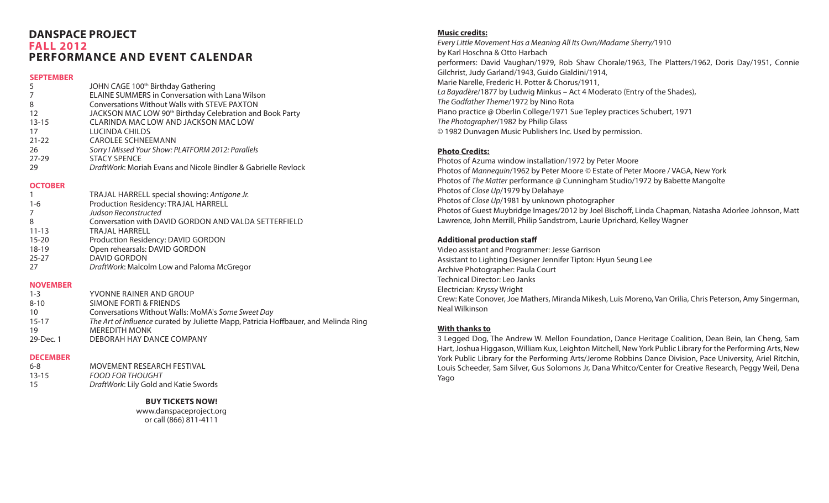## **Danspace Project fall 2012 performance and event calendar**

#### **SEPTEMBER**

| -5        | JOHN CAGE 100 <sup>th</sup> Birthday Gathering                       |
|-----------|----------------------------------------------------------------------|
| 7         | <b>ELAINE SUMMERS in Conversation with Lana Wilson</b>               |
| 8         | <b>Conversations Without Walls with STEVE PAXTON</b>                 |
| -12       | JACKSON MAC LOW 90 <sup>th</sup> Birthday Celebration and Book Party |
| $13 - 15$ | CLARINDA MAC LOW AND JACKSON MAC LOW                                 |
| 17        | LUCINDA CHILDS                                                       |
| $21 - 22$ | <b>CAROLEE SCHNEEMANN</b>                                            |
| -26       | Sorry I Missed Your Show: PLATFORM 2012: Parallels                   |
| $27 - 29$ | <b>STACY SPENCE</b>                                                  |
| -29       | DraftWork: Moriah Evans and Nicole Bindler & Gabrielle Revlock       |
|           |                                                                      |

#### **OCTOBER**

|           | TRAJAL HARRELL special showing: Antigone Jr.         |
|-----------|------------------------------------------------------|
| $1 - 6$   | Production Residency: TRAJAL HARRELL                 |
| 7         | Judson Reconstructed                                 |
| 8         | Conversation with DAVID GORDON AND VALDA SETTERFIELD |
| $11 - 13$ | TRAJAL HARRELL                                       |
| $15 - 20$ | Production Residency: DAVID GORDON                   |
| $18-19$   | Open rehearsals: DAVID GORDON                        |
| $25 - 27$ | <b>DAVID GORDON</b>                                  |
| -27       | DraftWork: Malcolm Low and Paloma McGregor           |
|           |                                                      |

#### **NOVEMBER**

| $1 - 3$   | YVONNE RAINER AND GROUP                                                             |
|-----------|-------------------------------------------------------------------------------------|
| $8 - 10$  | SIMONE FORTI & FRIENDS                                                              |
| 10        | Conversations Without Walls: MoMA's Some Sweet Day                                  |
| 15-17     | The Art of Influence curated by Juliette Mapp, Patricia Hoffbauer, and Melinda Ring |
| 19        | <b>MEREDITH MONK</b>                                                                |
| 29-Dec. 1 | DEBORAH HAY DANCE COMPANY                                                           |
|           |                                                                                     |

#### **DECEMBER**

| $6 - 8$   | MOVEMENT RESEARCH FESTIVAL            |
|-----------|---------------------------------------|
| $13 - 15$ | <b>FOOD FOR THOUGHT</b>               |
| 15        | DraftWork: Lily Gold and Katie Swords |

#### **buy tickets now!**

www.danspaceproject.org or call (866) 811-4111

#### **Music credits:**

*Every Little Movement Has a Meaning All Its Own/Madame Sherry/*1910 by Karl Hoschna & Otto Harbach performers: David Vaughan/1979, Rob Shaw Chorale/1963, The Platters/1962, Doris Day/1951, Connie Gilchrist, Judy Garland/1943, Guido Gialdini/1914, Marie Narelle, Frederic H. Potter & Chorus/1911, *La Bayadère*/1877 by Ludwig Minkus – Act 4 Moderato (Entry of the Shades), *The Godfather Theme*/1972 by Nino Rota Piano practice @ Oberlin College/1971 Sue Tepley practices Schubert, 1971 *The Photographer*/1982 by Philip Glass © 1982 Dunvagen Music Publishers Inc. Used by permission.

### **Photo Credits:**

Photos of Azuma window installation/1972 by Peter Moore Photos of *Mannequin*/1962 by Peter Moore © Estate of Peter Moore / VAGA, New York Photos of *The Matter* performance @ Cunningham Studio/1972 by Babette Mangolte Photos of *Close Up*/1979 by Delahaye Photos of *Close Up*/1981 by unknown photographer Photos of Guest Muybridge Images/2012 by Joel Bischoff, Linda Chapman, Natasha Adorlee Johnson, Matt Lawrence, John Merrill, Philip Sandstrom, Laurie Uprichard, Kelley Wagner

### **Additional production staff**

Video assistant and Programmer: Jesse Garrison Assistant to Lighting Designer Jennifer Tipton: Hyun Seung Lee Archive Photographer: Paula Court Technical Director: Leo Janks Electrician: Kryssy Wright Crew: Kate Conover, Joe Mathers, Miranda Mikesh, Luis Moreno, Van Orilia, Chris Peterson, Amy Singerman, Neal Wilkinson

#### **With thanks to**

3 Legged Dog, The Andrew W. Mellon Foundation, Dance Heritage Coalition, Dean Bein, Ian Cheng, Sam Hart, Joshua Higgason, William Kux, Leighton Mitchell, New York Public Library for the Performing Arts, New York Public Library for the Performing Arts/Jerome Robbins Dance Division, Pace University, Ariel Ritchin, Louis Scheeder, Sam Silver, Gus Solomons Jr, Dana Whitco/Center for Creative Research, Peggy Weil, Dena Yago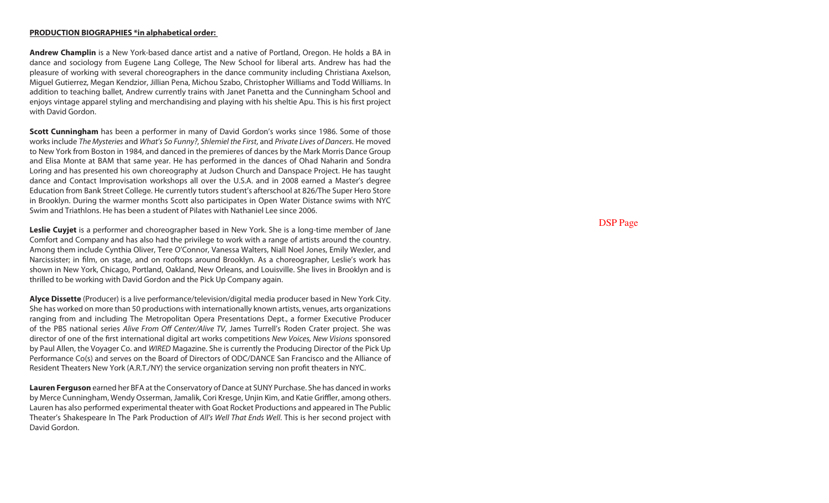#### **PRODUCTION BIOGRAPHIES \*in alphabetical order:**

**Andrew Champlin** is a New York-based dance artist and a native of Portland, Oregon. He holds a BA in dance and sociology from Eugene Lang College, The New School for liberal arts. Andrew has had the pleasure of working with several choreographers in the dance community including Christiana Axelson, Miguel Gutierrez, Megan Kendzior, Jillian Pena, Michou Szabo, Christopher Williams and Todd Williams. In addition to teaching ballet, Andrew currently trains with Janet Panetta and the Cunningham School and enjoys vintage apparel styling and merchandising and playing with his sheltie Apu. This is his first project with David Gordon.

**Scott Cunningham** has been a performer in many of David Gordon's works since 1986. Some of those works include *The Mysteries* and *What's So Funny?*, *Shlemiel the First*, and *Private Lives of Dancers*. He moved to New York from Boston in 1984, and danced in the premieres of dances by the Mark Morris Dance Group and Elisa Monte at BAM that same year. He has performed in the dances of Ohad Naharin and Sondra Loring and has presented his own choreography at Judson Church and Danspace Project. He has taught dance and Contact Improvisation workshops all over the U.S.A. and in 2008 earned a Master's degree Education from Bank Street College. He currently tutors student's afterschool at 826/The Super Hero Store in Brooklyn. During the warmer months Scott also participates in Open Water Distance swims with NYC Swim and Triathlons. He has been a student of Pilates with Nathaniel Lee since 2006.

**Leslie Cuyjet** is a performer and choreographer based in New York. She is a long-time member of Jane Comfort and Company and has also had the privilege to work with a range of artists around the country. Among them include Cynthia Oliver, Tere O'Connor, Vanessa Walters, Niall Noel Jones, Emily Wexler, and Narcissister; in film, on stage, and on rooftops around Brooklyn. As a choreographer, Leslie's work has shown in New York, Chicago, Portland, Oakland, New Orleans, and Louisville. She lives in Brooklyn and is thrilled to be working with David Gordon and the Pick Up Company again.

**Alyce Dissette** (Producer) is a live performance/television/digital media producer based in New York City. She has worked on more than 50 productions with internationally known artists, venues, arts organizations ranging from and including The Metropolitan Opera Presentations Dept., a former Executive Producer of the PBS national series *Alive From Off Center/Alive TV*, James Turrell's Roden Crater project. She was director of one of the first international digital art works competitions *New Voices, New Visions* sponsored by Paul Allen, the Voyager Co. and *WIRED* Magazine. She is currently the Producing Director of the Pick Up Performance Co(s) and serves on the Board of Directors of ODC/DANCE San Francisco and the Alliance of Resident Theaters New York (A.R.T./NY) the service organization serving non profit theaters in NYC.

**Lauren Ferguson** earned her BFA at the Conservatory of Dance at SUNY Purchase. She has danced in works by Merce Cunningham, Wendy Osserman, Jamalik, Cori Kresge, Unjin Kim, and Katie Griffler, among others. Lauren has also performed experimental theater with Goat Rocket Productions and appeared in The Public Theater's Shakespeare In The Park Production of *All's Well That Ends Well*. This is her second project with David Gordon.

DSP Page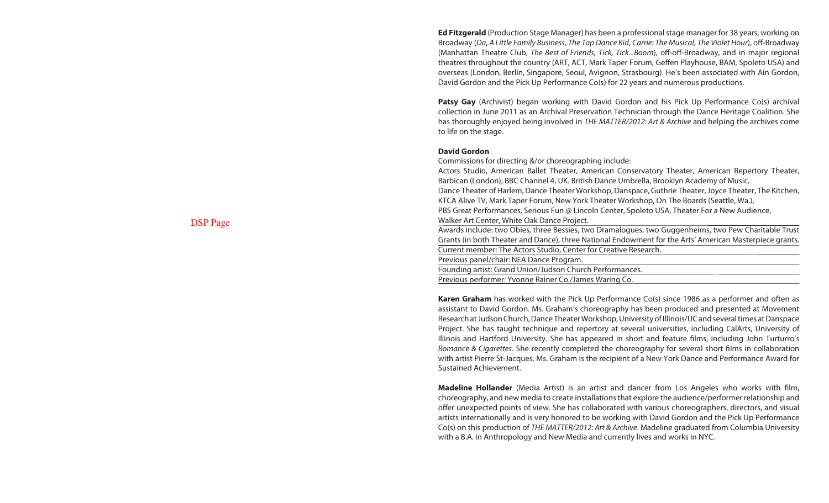**Ed Fitzgerald** (Production Stage Manager) has been a professional stage manager for 38 years, working on Broadway (*Da*, *A Little Family Business*, *The Tap Dance Kid*, *Carrie: The Musical*, *The Violet Hour*), off-Broadway (Manhattan Theatre Club, *The Best of Friends*, *Tick, Tick...Boom*), off-off-Broadway, and in major regional theatres throughout the country (ART, ACT, Mark Taper Forum, Geffen Playhouse, BAM, Spoleto USA) and overseas (London, Berlin, Singapore, Seoul, Avignon, Strasbourg). He's been associated with Ain Gordon, David Gordon and the Pick Up Performance Co(s) for 22 years and numerous productions.

**Patsy Gay** (Archivist) began working with David Gordon and his Pick Up Performance Co(s) archival collection in June 2011 as an Archival Preservation Technician through the Dance Heritage Coalition. She has thoroughly enjoyed being involved in *THE MATTER/2012: Art & Archive* and helping the archives come to life on the stage.

#### **David Gordon**

Commissions for directing &/or choreographing include:

Actors Studio, American Ballet Theater, American Conservatory Theater, American Repertory Theater, Barbican (London), BBC Channel 4, UK. British Dance Umbrella, Brooklyn Academy of Music, Dance Theater of Harlem, Dance Theater Workshop, Danspace, Guthrie Theater, Joyce Theater, The Kitchen, KTCA Alive TV, Mark Taper Forum, New York Theater Workshop, On The Boards (Seattle, Wa.), PBS Great Performances, Serious Fun @ Lincoln Center, Spoleto USA, Theater For a New Audience, Walker Art Center, White Oak Dance Project. Awards include: two Obies, three Bessies, two Dramalogues, two Guggenheims, two Pew Charitable Trust

Grants (in both Theater and Dance), three National Endowment for the Arts' American Masterpiece grants. Current member: The Actors Studio, Center for Creative Research.

Previous panel/chair: NEA Dance Program.

Founding artist: Grand Union/Judson Church Performances.

Previous performer: Yvonne Rainer Co./James Waring Co.

**Karen Graham** has worked with the Pick Up Performance Co(s) since 1986 as a performer and often as assistant to David Gordon. Ms. Graham's choreography has been produced and presented at Movement Research at Judson Church, Dance Theater Workshop, University of Illinois/UC and several times at Danspace Project. She has taught technique and repertory at several universities, including CalArts, University of Illinois and Hartford University. She has appeared in short and feature films, including John Turturro's *Romance & Cigarettes*. She recently completed the choreography for several short films in collaboration with artist Pierre St-Jacques. Ms. Graham is the recipient of a New York Dance and Performance Award for Sustained Achievement.

**Madeline Hollander** (Media Artist) is an artist and dancer from Los Angeles who works with film, choreography, and new media to create installations that explore the audience/performer relationship and offer unexpected points of view. She has collaborated with various choreographers, directors, and visual artists internationally and is very honored to be working with David Gordon and the Pick Up Performance Co(s) on this production of *The Matter/2012: Art & Archive*. Madeline graduated from Columbia University with a B.A. in Anthropology and New Media and currently lives and works in NYC.

DSP Page